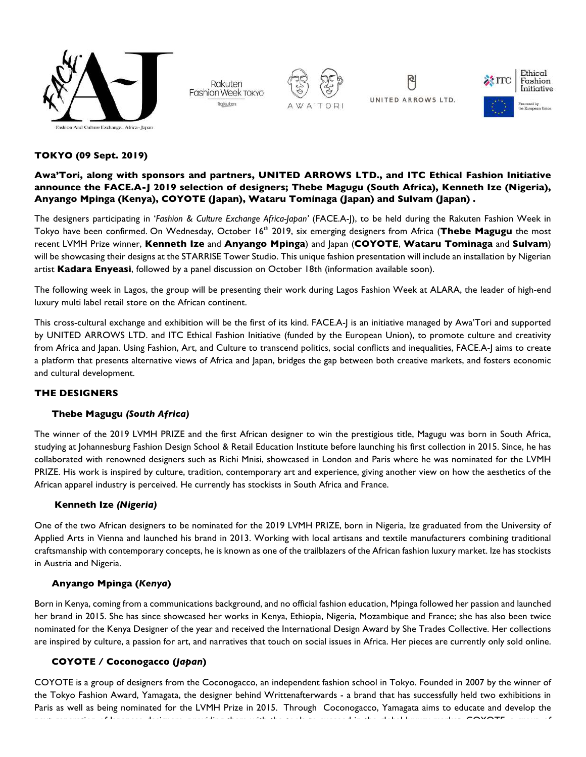

Rakuten Fashion Week TOKYO Rakuten







# **TOKYO (09 Sept. 2019)**

# **Awa'Tori, along with sponsors and partners, UNITED ARROWS LTD., and ITC Ethical Fashion Initiative announce the FACE.A-J 2019 selection of designers; Thebe Magugu (South Africa), Kenneth Ize (Nigeria), Anyango Mpinga (Kenya), COYOTE (Japan), Wataru Tominaga (Japan) and Sulvam (Japan) .**

The designers participating in '*Fashion & Culture Exchange Africa-Japan'* (FACE.A-J), to be held during the Rakuten Fashion Week in Tokyo have been confirmed. On Wednesday, October 16<sup>th</sup> 2019, six emerging designers from Africa (Thebe Magugu the most recent LVMH Prize winner, **Kenneth Ize** and **Anyango Mpinga**) and Japan (**COYOTE**, **Wataru Tominaga** and **Sulvam**) will be showcasing their designs at the STARRISE Tower Studio. This unique fashion presentation will include an installation by Nigerian artist **Kadara Enyeasi**, followed by a panel discussion on October 18th (information available soon).

The following week in Lagos, the group will be presenting their work during Lagos Fashion Week at ALARA, the leader of high-end luxury multi label retail store on the African continent.

This cross-cultural exchange and exhibition will be the first of its kind. FACE.A-J is an initiative managed by Awa'Tori and supported by UNITED ARROWS LTD. and ITC Ethical Fashion Initiative (funded by the European Union), to promote culture and creativity from Africa and Japan. Using Fashion, Art, and Culture to transcend politics, social conflicts and inequalities, FACE.A-J aims to create a platform that presents alternative views of Africa and Japan, bridges the gap between both creative markets, and fosters economic and cultural development.

## **THE DESIGNERS**

## **Thebe Magugu** *(South Africa)*

The winner of the 2019 LVMH PRIZE and the first African designer to win the prestigious title, Magugu was born in South Africa, studying at Johannesburg Fashion Design School & Retail Education Institute before launching his first collection in 2015. Since, he has collaborated with renowned designers such as Richi Mnisi, showcased in London and Paris where he was nominated for the LVMH PRIZE. His work is inspired by culture, tradition, contemporary art and experience, giving another view on how the aesthetics of the African apparel industry is perceived. He currently has stockists in South Africa and France.

## **Kenneth Ize** *(Nigeria)*

One of the two African designers to be nominated for the 2019 LVMH PRIZE, born in Nigeria, Ize graduated from the University of Applied Arts in Vienna and launched his brand in 2013. Working with local artisans and textile manufacturers combining traditional craftsmanship with contemporary concepts, he is known as one of the trailblazers of the African fashion luxury market. Ize has stockists in Austria and Nigeria.

## **Anyango Mpinga (***Kenya***)**

Born in Kenya, coming from a communications background, and no official fashion education, Mpinga followed her passion and launched her brand in 2015. She has since showcased her works in Kenya, Ethiopia, Nigeria, Mozambique and France; she has also been twice nominated for the Kenya Designer of the year and received the International Design Award by She Trades Collective. Her collections are inspired by culture, a passion for art, and narratives that touch on social issues in Africa. Her pieces are currently only sold online.

## **COYOTE / Coconogacco (***Japan***)**

COYOTE is a group of designers from the Coconogacco, an independent fashion school in Tokyo. Founded in 2007 by the winner of the Tokyo Fashion Award, Yamagata, the designer behind Writtenafterwards - a brand that has successfully held two exhibitions in Paris as well as being nominated for the LVMH Prize in 2015. Through Coconogacco, Yamagata aims to educate and develop the next generation of Dapanese designers, providing the tools to succeed in the tools to succeed in the global luxury market.  $\epsilon$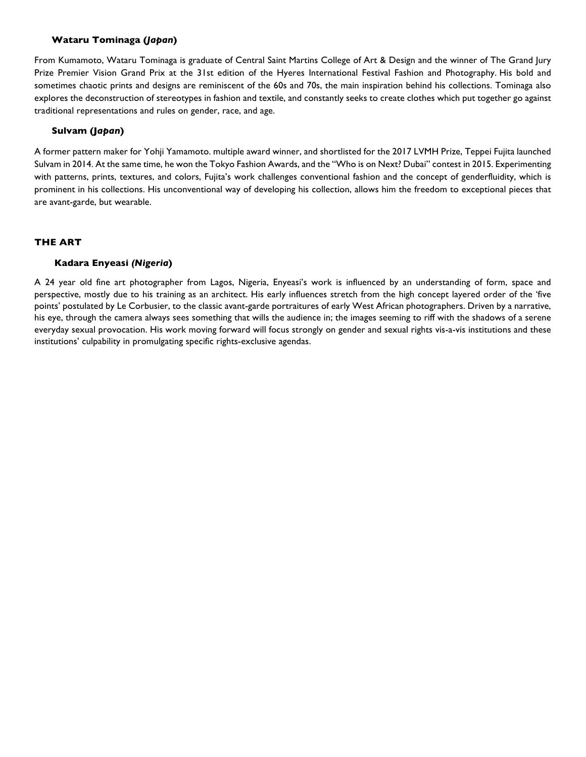## **Wataru Tominaga (***Japan***)**

From Kumamoto, Wataru Tominaga is graduate of Central Saint Martins College of Art & Design and the winner of The Grand Jury Prize Premier Vision Grand Prix at the 31st edition of the Hyeres International Festival Fashion and Photography. His bold and sometimes chaotic prints and designs are reminiscent of the 60s and 70s, the main inspiration behind his collections. Tominaga also explores the deconstruction of stereotypes in fashion and textile, and constantly seeks to create clothes which put together go against traditional representations and rules on gender, race, and age.

## **Sulvam (J***apan***)**

A former pattern maker for Yohji Yamamoto. multiple award winner, and shortlisted for the 2017 LVMH Prize, Teppei Fujita launched Sulvam in 2014. At the same time, he won the Tokyo Fashion Awards, and the "Who is on Next? Dubai" contest in 2015. Experimenting with patterns, prints, textures, and colors, Fujita's work challenges conventional fashion and the concept of genderfluidity, which is prominent in his collections. His unconventional way of developing his collection, allows him the freedom to exceptional pieces that are avant-garde, but wearable.

## **THE ART**

## **Kadara Enyeasi** *(Nigeria***)**

A 24 year old fine art photographer from Lagos, Nigeria, Enyeasi's work is influenced by an understanding of form, space and perspective, mostly due to his training as an architect. His early influences stretch from the high concept layered order of the 'five points' postulated by Le Corbusier, to the classic avant-garde portraitures of early West African photographers. Driven by a narrative, his eye, through the camera always sees something that wills the audience in; the images seeming to riff with the shadows of a serene everyday sexual provocation. His work moving forward will focus strongly on gender and sexual rights vis-a-vis institutions and these institutions' culpability in promulgating specific rights-exclusive agendas.